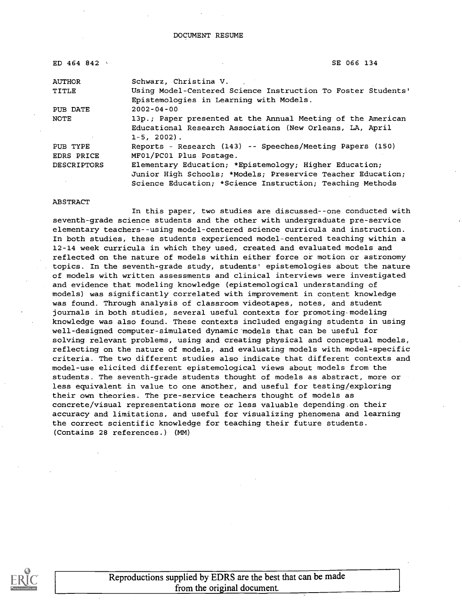DOCUMENT RESUME

| ED 464 842         | SE 066 134                                                                                                                               |
|--------------------|------------------------------------------------------------------------------------------------------------------------------------------|
| <b>AUTHOR</b>      | Schwarz, Christina V.                                                                                                                    |
| TITLE              | Using Model-Centered Science Instruction To Foster Students'<br>Epistemologies in Learning with Models.                                  |
| PUB DATE           | $2002 - 04 - 00$                                                                                                                         |
| NOTE               | 13p.; Paper presented at the Annual Meeting of the American<br>Educational Research Association (New Orleans, LA, April<br>$1-5, 2002$ . |
| PUB TYPE           | Reports - Research (143) -- Speeches/Meeting Papers (150)                                                                                |
| <b>EDRS PRICE</b>  | MF01/PC01 Plus Postage.                                                                                                                  |
| <b>DESCRIPTORS</b> | Elementary Education; *Epistemology; Higher Education;                                                                                   |
|                    | Junior High Schools; *Models; Preservice Teacher Education;<br>Science Education; *Science Instruction; Teaching Methods                 |

#### ABSTRACT

In this paper, two studies are discussed--one conducted with seventh-grade science students and the other with undergraduate pre-service elementary teachers--using model-centered science curricula and instruction. In both studies, these students experienced model-centered teaching within a 12-14 week curricula in which they used, created and evaluated models and reflected on the nature of models within either force or motion or astronomy topics. In the seventh-grade study, students' epistemologies about the nature of models with written assessments and clinical interviews were investigated and evidence that modeling knowledge (epistemological understanding of models) was significantly correlated with improvement in content knowledge was found. Through analysis of classroom videotapes, notes, and student journals in both studies, several useful contexts for promoting modeling knowledge was also found. These contexts included engaging students in using well-designed computer-simulated dynamic models that can be useful for solving relevant problems, using and creating physical and conceptual models, reflecting on the nature of models, and evaluating models with model-specific criteria. The two different studies also indicate that different contexts and model-use elicited different epistemological views about models from the students. The seventh-grade students thought of models as abstract, more or less equivalent in value to one another, and useful for testing/exploring their own theories. The pre-service teachers thought of models as concrete/visual representations more or less valuable depending on their accuracy and limitations, and useful for visualizing phenomena and learning the correct scientific knowledge for teaching their future students. (Contains 28 references.) (MM)

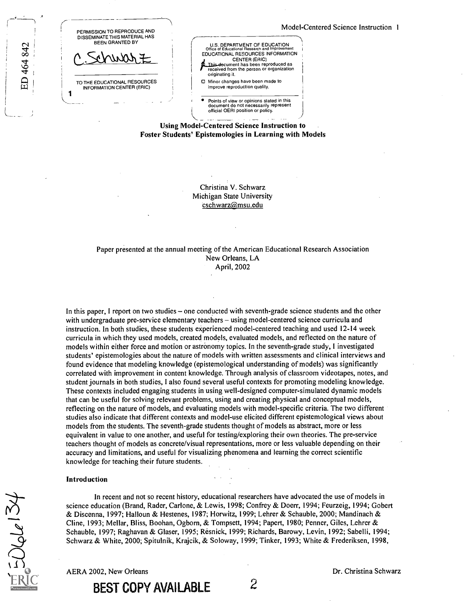| PERMISSION TO REPRODUCE AND<br>DISSEMINATE THIS MATERIAL HAS<br><b>BEEN GRANTED BY</b> |  |
|----------------------------------------------------------------------------------------|--|
| $+10000 +$                                                                             |  |
| TO THE EDUCATIONAL RESOURCES<br>INFORMATION CENTER (ERIC)                              |  |

ED 464 842



Points of view or opinions stated in this document do not necessarily represent official OERI position or policy.

Using Model-Centered Science Instruction to Foster Students' Epistemologies in Learning with Models

> Christina V. Schwarz Michigan State University cschwarz@msu.edu

#### Paper presented at the annual meeting of the American Educational Research Association New Orleans, LA April, 2002

In this paper, I report on two studies – one conducted with seventh-grade science students and the other with undergraduate pre-service elementary teachers – using model-centered science curricula and instruction. In both studies, these students experienced model-centered teaching and used 12-14 week curricula in which they used models, created models, evaluated models, and reflected on the nature of models within either force and motion or astronomy topics. In the seventh-grade study, I investigated students' epistemologies about the nature of models with written assessments and clinical interviews and found evidence that modeling knowledge (epistemological understanding of models) was significantly correlated with improvement in content knowledge. Through analysis of classroom videotapes, notes, and student journals in both studies, I also found several useful contexts for promoting modeling knowledge. These contexts included engaging students in using well-designed computer-simulated dynamic models that can be useful for solving relevant problems, using and creating physical and conceptual models, reflecting on the nature of models, and evaluating models with model-specific criteria. The two different studies also indicate that different contexts and model-use elicited different epistemological views about models from the students. The seventh-grade students thought of models as abstract, more or less equivalent in value to one another, and useful for testing/exploring their own theories. The pre-service teachers thought of models as concrete/visual representations, more or less valuable depending on their accuracy and limitations, and useful for visualizing phenomena and learning the correct scientific knowledge for teaching their future students.

#### Introduction

 $50$ del $3$ 

In recent and not so recent history, educational researchers have advocated the use of models in science education (Brand, Rader, Carlone, & Lewis, 1998; Confrey & Doerr, 1994; Feurzeig, 1994; Gobert & Discenna, 1997; Halloun & Hestenes, 1987; Horwitz, 1999; Lehrer & Schauble, 2000; Mandinach & Cline, 1993; Mellar, Bliss, Boohan, Ogborn, & Tompsett, 1994; Papert, 1980; Penner, Giles, Lehrer & Schauble, 1997; Raghavan & Glaser, 1995; Résnick, 1999; Richards, Barowy, Levin, 1992; Sabelli, 1994; Schwarz & White, 2000; Spitulnik, Krajcik, & Soloway, 1999; Tinker, 1993; White & Frederiksen, 1998,

AERA 2002, New Orleans **Dr. Christina Schwarz** Dr. Christina Schwarz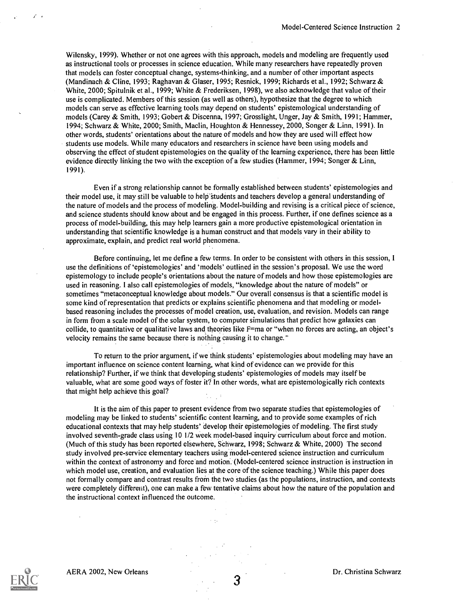Wilensky, 1999). Whether or not one agrees with this approach, models and modeling are frequently used as instructional tools or processes in science education. While many researchers have repeatedly proven that models can foster conceptual change, systems-thinking, and a number of other important aspects (Mandinach & Cline, 1993; Raghavan & Glaser, 1995; Resnick, 1999; Richards et al., 1992; Schwarz & White, 2000; Spitulnik et al., 1999; White & Frederiksen, 1998), we also acknowledge that value of their use is complicated. Members of this session (as well as others), hypothesize that the degree to which models can serve as effective learning tools may depend on students' epistemological understanding of models (Carey & Smith, 1993; Gobert & Discenna, 1997; Grosslight, Unger, Jay & Smith, 1991; Hammer, 1994; Schwarz & White, 2000; Smith, Maclin, Houghton & Hennessey, 2000, Songer & Linn, 1991). In other words, students' orientations about the nature of models and how they are used will effect how students use models. While many educators and researchers in science have been using models and observing the effect of student epistemologies on the quality of the learning experience, there has been little evidence directly linking the two with the exception of a few studies (Hammer, 1994; Songer & Linn, 1991).

Even if a strong relationship cannot be formally established between students' epistemologies and their model use, it may still be valuable to help'§tudents and teachers develop a general understanding of the nature of models and the process of modeling. Model-building and revising is a critical piece of science, and science students should know about and be engaged in this process. Further, if one defines science as a process of model-building, this may help learners gain a more productive epistemological orientation in understanding that scientific knowledge is a human construct and that models vary in their ability to approximate, explain, and predict real world phenomena.

Before continuing, let me define a few terms. In order to be consistent with others in this session, I use the definitions of 'epistemologies' and 'models' outlined in the session's proposal. We use the word epistemology to include people's orientations about the nature of models and how those epistemologies are used in reasoning. I also call epistemologies of models, "knowledge about the nature of models" or sometimes "metaconceptual knowledge about models." Our overall consensus is that a scientific model is some kind of representation that predicts or explains scientific phenomena and that modeling or modelbased reasoning includes the processes of model creation, use, evaluation, and revision. Models can range in form from a scale model of the solar system, to computer simulations that predict how galaxies can collide, to quantitative or qualitative laws and theories like F=ma or "when no forces are acting, an object's velocity remains the same because there is nothing causing it to change."

To return to the prior argument, if we think students' epistemologies about modeling may have an important influence on science content learning, what kind of evidence can we provide for this relationship? Further, if we think that developing students' epistemologies of models may itself be valuable, what are some good ways of foster it? In other words, what are epistemologically rich contexts that might help achieve this goal?

It is the aim of this paper to present evidence from two separate studies that epistemologies of modeling may be linked to students' scientific content learning, and to provide some examples of rich educational contexts that may help students' develop their epistemologies of modeling. The first study involved seventh-grade class using 10 1/2 week model-based inquiry curriculum about force and motion. (Much of this study has been reported elsewhere, Schwarz, 1998; Schwarz & White, 2000) The second study involved pre-service elementary teachers using model-centered science instruction and curriculum within the context of astronomy and force and motion. (Model-centered science instruction is instruction in which model use, creation, and evaluation lies at the core of the science teaching.) While this paper does not formally compare and contrast results from the two studies (as the populations, instruction, and contexts were completely different), one can make a few tentative claims about how the nature of the population and the instructional context influenced the outcome.

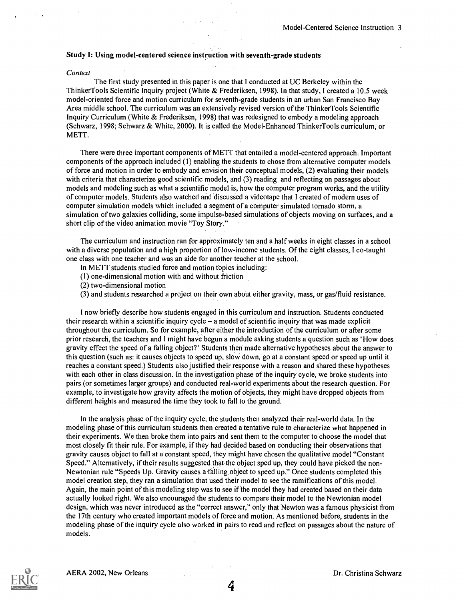#### Study I: Using model-centered science instruction with seventh-grade students

#### **Context**

The first study presented in this paper is one that I conducted at UC Berkeley within the Thinker Tools Scientific Inquiry project (White & Frederiksen, 1998). In that study, I created a 10.5 week model-oriented force and motion curriculum for seventh-grade students in an urban San Francisco Bay Area middle school. The curriculum was an extensively revised version of the ThinkerTools Scientific Inquiry Curriculum (White & Frederiksen, 1998) that was redesigned to embody a modeling approach (Schwarz, 1998; Schwarz & White, 2000). It is called the Model-Enhanced ThinkerTools curriculum, or METT.

There were three important components of METT that entailed a model-centered approach. Important components of the approach included (1) enabling the students to chose from alternative computer models of force and motion in order to embody and envision their conceptual models, (2) evaluating their models with criteria that characterize good scientific models, and (3) reading and reflecting on passages about models and modeling such as what a scientific model is, how the computer program works, and the utility of computer models. Students also watched and 'discussed a videotape that I created of modern uses of computer simulation models which included a segment of a computer simulated tornado storm, a simulation of two galaxies colliding, some impulse-based simulations of objects moving on surfaces, and a short clip of the video animation movie "Toy Story."

The curriculum and instruction ran for approximately ten and a half weeks in eight classes in a school with a diverse population and a high proportion of low-income students. Of the eight classes, I co-taught one class with one teacher and was an aide for another teacher at the school.

In METT students studied force and motion topics including:

- (1) one-dimensional motion with and without friction
- (2) two-dimensional motion
- (3) and students researched a project on their own about either gravity, mass, or gas/fluid resistance.

I now briefly describe how students engaged in this curriculum and instruction. Students conducted their research within a scientific inquiry cycle – a model of scientific inquiry that was made explicit throughout the curriculum. So for example, after either the introduction of the curriculum or after some prior research, the teachers and I might have begun a module asking students a question such as 'How does gravity effect the speed of a falling object?' Students then made alternative hypotheses about the answer to this question (such as: it causes objects to speed up, slow down, go at a constant speed or speed up until it reaches a constant speed.) Students also justified their response with a reason and shared these hypotheses with each other in class discussion. In the investigation phase of the inquiry cycle, we broke students into pairs (or sometimes larger groups) and conducted real-world experiments about the research question. For example, to investigate how gravity affects the motion of objects, they might have dropped objects from different heights and measured the time they took to fall to the ground.

In the analysis phase of the inquiry cycle, the students then analyzed their real-world data. In the modeling phase of this curriculum students then created a tentative rule to characterize what happened in their experiments. We then broke them into pairs and sent them to the computer to choose the model that most closely fit their rule. For example, if they had decided based on conducting their observations that gravity causes object to fall at a constant speed, they might have chosen the qualitative model "Constant Speed." Alternatively, if their results suggested that the object sped up, they could have picked the non-Newtonian rule "Speeds Up. Gravity causes a falling object to speed up." Once students completed this model creation step, they ran a simulation that used their model to see the ramifications of this model. Again, the main point of this modeling step was to see if the model they had created based on their data actually looked right. We also encouraged the students to compare their model to the Newtonian model design, which was never introduced as the "correct answer," only that Newton was a famous physicist from the 17th century who created important models of force and motion. As mentioned before, students in the modeling phase of the inquiry cycle also worked in pairs to read and reflect on passages about the nature of models.

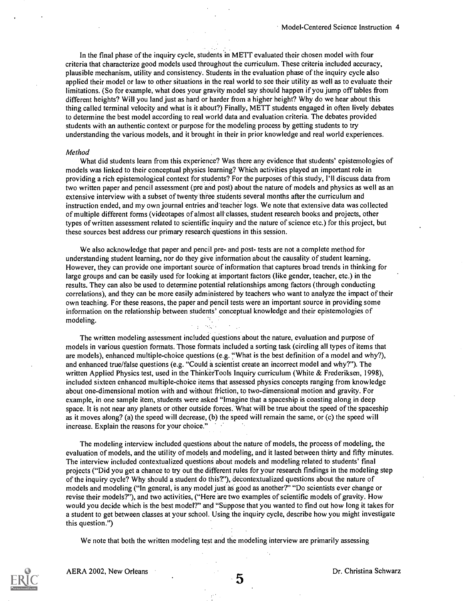In the final phase of the inquiry cycle, students in METr evaluated their chosen model with four criteria that characterize good models used throughout the curriculum. These criteria included accuracy, plausible mechanism, utility and consistency. Students in the evaluation phase of the inquiry cycle also applied their model or law to other situations in the real world to see their utility as well as to evaluate their limitations. (So for example, what does your gravity model say should happen if you jump off tables from different heights? Will you land just as hard or harder from a higher height? Why do we hear about this thing called terminal velocity and what is it about?) Finally, METT students engaged in often lively debates to determine the best model according to real world data and evaluation criteria. The debates provided students with an authentic context or purpose for the modeling process by getting students to try understanding the various models, and it brought in their in prior knowledge and real world experiences.

#### Method

What did students learn from this experience? Was there any evidence that students' epistemologies of models was linked to their conceptual physics learning? Which activities played an important role in providing a rich epistemological context for students? For the purposes of this study, I'll discuss data from two written paper and pencil assessment (pre and post) about the nature of models and physics as well as an extensive interview with a subset of twenty three students several months after the curriculum and instruction ended, and my own journal entries and teacher logs. We note that extensive data was collected of multiple different forms (videotapes of almost all classes, student research books and projects, other types of written assessment related to scientific inquiry and the nature of science etc.) for this project, but these sources best address our primary research questions in this session.

We also acknowledge that paper and pencil pre- and post- tests are not a complete method for understanding student learning, nor do they give information about the causality of student learning. However, they can provide one important source of information that captures broad trends in thinking for large groups and can be easily used for looking at important factors (like gender, teacher, etc.) in the results. They can also be used to determine potential relationships among factors (through conducting correlations), and they can be more easily administered by teachers who want to analyze the impact of their own teaching. For these reasons, the paper and pencil tests were an important source in providing some information on the relationship between students' conceptual knowledge and their epistemologies of modeling.

The written modeling assessment included questions about the nature, evaluation and purpose of models in various question formats. Those formats included a sorting task (circling all types of items that are models), enhanced multiple-choice questions (e.g. "What is the best definition of a model and why?), and enhanced true/false questions (e.g. "Could a scientist create an incorrect model and why?"). The written Applied Physics test, used in the ThinkerTools Inquiry curriculum (White & Frederiksen, 1998), included sixteen enhanced multiple-choice items that assessed physics concepts ranging from knowledge about one-dimensional motion with and without friction, to two-dimensional motion and gravity. For example, in one sample item, students were asked "Imagine that a spaceship is coasting along in deep space. It is not near any planets or other outside forces. What will be true about the speed of the spaceship as it moves along? (a) the speed will decrease, (b) the speed will remain the same, or (c) the speed will increase. Explain the reasons for your choice."

The modeling interview included questions about the nature of models, the process of modeling, the evaluation of models, and the utility of models and modeling, and it lasted between thirty and fifty minutes. The interview included contextualized questions about models and modeling related to students' final projects ("Did you get a chance to try out the different rules for your research findings in the modeling step of the inquiry cycle? Why should a student do this?"), decontextualized questions about the nature of models and modeling ("In general, is any model just as good as another?" "Do scientists ever change or revise their models?"), and two activities, ("Here are two examples of scientific models of gravity. How would you decide which is the best model?" and "Suppose that you wanted to find out how long it takes for a student to get between classes at your school. Using the inquiry cycle, describe how you might investigate this question.")

We note that both the written modeling test and the modeling interview are primarily assessing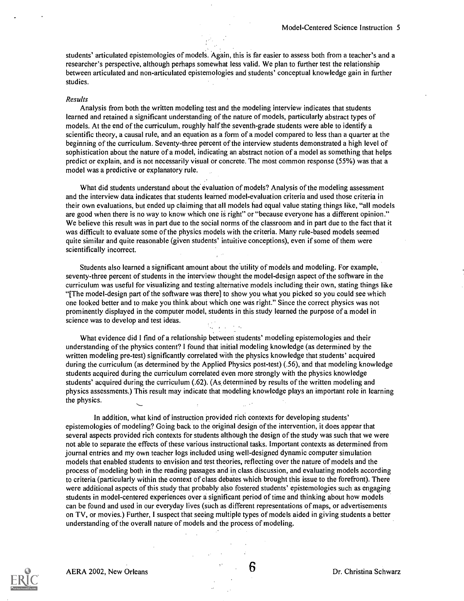students' articulated epistemologies of models. Again, this is far easier to assess both from a teacher's and a researcher's perspective, although perhaps somewhat less valid. We plan to further test the relationship between articulated and non-articulated epistemologies and students' conceptual knowledge gain in further studies.

#### Results

Analysis from both the written modeling test and the modeling interview indicates that students learned and retained a significant understanding of the nature of models, particularly abstract types of models. At the end of the curriculum, roughly half the seventh-grade students were able to identify a scientific theory, a causal rule, and an equation as a form of a model compared to less than a quarter at the beginning of the curriculum. Seventy-three percent of the interview students demonstrated a high level of sophistication about the nature of a model, indicating an abstract notion of a model as something that helps predict or explain, and is not necessarily visual or concrete. The most common response (55%) was that a model was a predictive or explanatory rule.

What did students understand about the evaluation of models? Analysis of the modeling assessment and the interview data indicates that students learned model-evaluation criteria and used those criteria in their own evaluations, but ended up claiming that all models had equal value stating things like, "all models are good when there is no way to know which one is right" or "because everyone has a different opinion." We believe this result was in part due to the social norms of the classroom and in part due to the fact that it was difficult to evaluate some of the physics models with the criteria. Many rule-based models seemed quite similar and quite reasonable (given students' intuitive conceptions), even if some of them were scientifically incorrect.

Students also learned a significant amount about the utility of models and modeling. For example, seventy-three percent of students in the interview thought the model-design aspect of the software in the curriculum was useful for visualizing and testing alternative models including their own, stating things like "[The model-design part of the software was there] to show you what you picked so you could see which one looked better and to make you think about which one was right." Since the correct physics was not prominently displayed in the computer model, students in this study learned the purpose of a model in science was to develop and test ideas.

What evidence did I find of a relationship between students' modeling epistemologies and their understanding of the physics content? I found that initial modeling knowledge (as determined by the written modeling pre-test) significantly correlated with the physics knowledge that students' acquired during the curriculum (as determined by the Applied Physics post-test) (.56), and that modeling knowledge students acquired during the curriculum correlated even more strongly with the physics knowledge students' acquired during the curriculum (.62). (As determined by results of the written modeling and physics assessments.) This result may indicate that modeling knowledge plays an important role in learning the physics.

In addition, what kind of instruction provided rich contexts for developing students' epistemologies of modeling? Going back to the original design of the intervention, it does appear that several aspects provided rich contexts for students although the design of the study was such that we were not able to separate the effects of these various instructional tasks. Important contexts as determined from journal entries and my own teacher logs included using well-designed dynamic computer simulation models that enabled students to envision and test theories, reflecting over the nature of models and the process of modeling both in the reading passages and in class discussion, and evaluating models according to criteria (particularly within the context of class debates which brought this issue to the forefront). There were additional aspects of this study that probably also fostered students' epistemologies such as engaging students in model-centered experiences over a significant period of time and thinking about how models can be found and used in our everyday lives (such as different representations of maps, or advertisements on TV, or movies.) Further, I suspect that seeing multiple types of models aided in giving students a better understanding of the overall nature of models and the process of modeling.

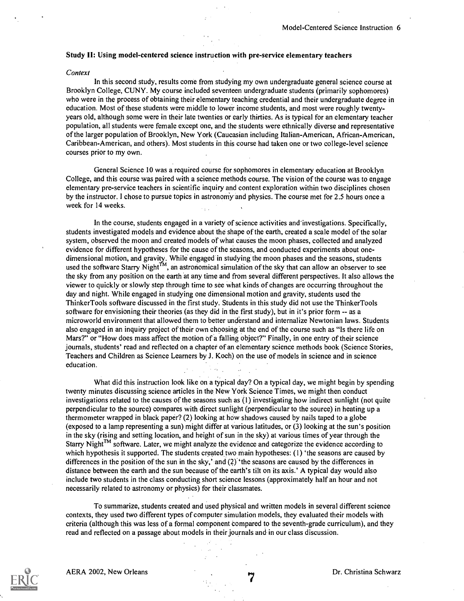#### Study II: Using model-centered science instruction with pre-service elementary teachers

#### **Context**

In this second study, results come from studying my own undergraduate general science course at Brooklyn College, CUNY. My course included seventeen undergraduate students (primarily sophomores) who were in the process of obtaining their elementary teaching credential and their undergraduate degree in education. Most of these students were middle to lower income students, and most were roughly twentyyears old, although some were in their late twenties or early thirties. As is typical for an elementary teacher population, all students were female except one, and the students were ethnically diverse and representative of the larger population of Brooklyn, New York (Caucasian including Italian-American, African-American, Caribbean-American, and others). Most students in this course had taken one or two college-level science courses prior to my own.

General Science 10 was a required course for sophomores in elementary education at Brooklyn College, and this course was paired with a science methods course. The vision of the course was to engage elementary pre-service teachers in scientific inquiry and content exploration within two disciplines chosen by the instructor. I chose to pursue topics in astronomy and physics. The course met for 2.5 hours once a week for 14 weeks.

In the course, students engaged in a variety of science activities and'investigations. Specifically, students investigated models and evidence about the shape of the earth, created a scale model of the solar system, observed the moon and created models of what causes the moon phases, collected and analyzed evidence for different hypotheses for the cause of the seasons, and conducted experiments about onedimensional motion, and gravity. While engaged in studying the moon phases and the seasons, students used the software Starry Night<sup>TM</sup>, an astronomical simulation of the sky that can allow an observer to see the sky from any position on the earth at any time and from several different perspectives. It also allows the viewer to quickly or slowly step through time to see what kinds of changes are occurring throughout the day and night. While engaged in studying one dimensional motion and gravity, students used the ThinkerTools software discussed in the first study. Students in this study did not use the ThinkerTools software for envisioning their theories (as they did in the first study), but in it's prior form -- as a microworld environment that allowed them to better understand and internalize Newtonian laws. Students also engaged in an inquiry project of their own choosing at the end of the course such as "Is there life on Mars?" or "How does mass affect the motion of a falling object?" Finally, in one entry of their science journals, students' read and reflected on a chapter of an elementary science methods book (Science Stories, Teachers and Children as Science Learners by J. Koch) on the use of models in science and in science education.

What did this instruction look like on a typical day? On a typical day, we might begin by spending twenty minutes discussing science articles in the New York Science Times, we might then conduct investigations related to the causes of the seasons such as (1) investigating how indirect sunlight (not quite perpendicular to the source) compares with direct sunlight (perpendicular to the source) in heating up a thermometer wrapped in black paper? (2) looking at how shadows caused by nails taped to a globe (exposed to a lamp representing a sun) might differ at various latitudes, or (3) looking at the sun's position in the sky (rising and setting location, and height of sun in the sky) at various times of year through the Starry Night<sup>TM</sup> software. Later, we might analyze the evidence and categorize the evidence according to which hypothesis it supported. The students created two main hypotheses: (1) 'the seasons are caused by differences in the position of the sun in the sky,' and (2) 'the seasons are caused by the differences in distance between the earth and the sun because of the earth's tilt on its axis.' A typical day would also include two students in the class conducting short science lessons (approximately half an hour and not necessarily related to astronomy or physics) for their classmates.

To summarize, students created and used physical and written models in several different science contexts, they used two different types of computer simulation models, they evaluated their models with criteria (although this was less of a formal component compared to the seventh-grade curriculum), and they read and reflected on a passage about models in their journals and in our class discussion.



AERA 2002, New Orleans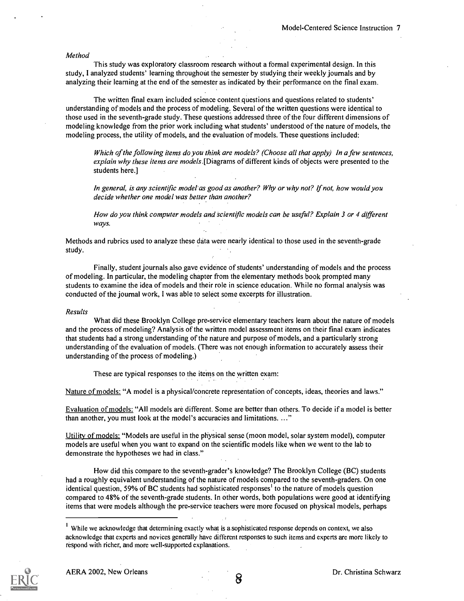#### Method

This study was exploratory classroom research without a formal experimental design. In this study, I analyzed students' learning throughout the semester by studying their weekly journals and by analyzing their learning at the end of the semester as indicated by their performance on the final exam.

The written final exam included science content questions and questions related to students' understanding of models and the process of modeling; Several of the written questions were identical to those used in the seventh-grade study. These questions addressed three of the four different dimensions of modeling knowledge from the prior work including what students' understood of the nature of models, the modeling process, the utility of models, and the evaluation of models. These questions included:

Which of the following items do you think are models? (Choose all that apply) In a few sentences, explain why these items are models. [Diagrams of different kinds of objects were presented to the students here.]

In general, is any scientific model as good as another? Why or why not? If not, how would you decide whether one model was better than another?

How do you think computer models and scientific models can be useful? Explain 3 or 4 different ways.

Methods and rubrics used to analyze these data were nearly identical to those used in the seventh-grade study.

Finally, student journals also gave evidence of students' understanding of models and the process of modeling. In particular, the modeling chapter from the elementary methods book prompted many students to examine the idea of models and their role in science education. While no formal analysis was conducted of the journal work, I was able to select some excerpts for illustration.

#### Results

What did these Brooklyn College pre-service elementary teachers learn about the nature of models and the process of modeling? Analysis of the written model assessment items on their final exam indicates that students had a strong understanding of the nature and purpose of models, and a particularly strong understanding of the evaluation of models. (There was not enough information to accurately assess their understanding of the process of modeling.)

These are typical responses to the items on the written exam:

Nature of models: "A model is a physical/concrete representation of concepts, ideas, theories and laws."

Evaluation of models: "All models are different. Some are better than others. To decide if a model is better than another, you must look at the model's accuracies and limitations. ..."

Utility of models: "Models are useful in the physical sense (moon model, solar system model), computer models are useful when you want to expand on the scientific models like when we went to the lab to demonstrate the hypotheses we had in class."

How did this compare to the seventh-grader's knowledge? The Brooklyn College (BC) students had a roughly equivalent understanding of the nature of models compared to the seventh-graders. On one identical question, 59% of BC students had sophisticated responses' to the nature of models question compared to 48% of the seventh-grade students. In other words, both populations were good at identifying items that were models although the pre-service teachers were more focused on physical models, perhaps

<sup>&</sup>lt;sup>1</sup> While we acknowledge that determining exactly what is a sophisticated response depends on context, we also acknowledge that experts and novices generally have different responses to such items and experts are more likely to respond with richer, and more well-supported explanations.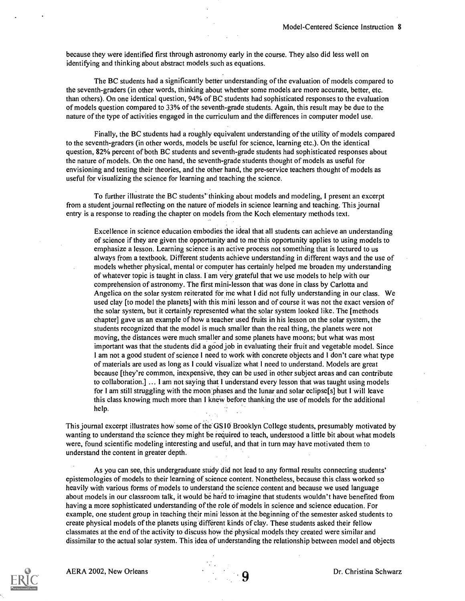because they were identified first through astronomy early in the course. They also did less well on identifying and thinking about abstract models such as equations.

The BC students had a significantly better understanding of the evaluation of models compared to the seventh-graders (in other words, thinking about whether some models are more accurate, better, etc. than others). On one identical question, 94% of BC students had sophisticated responses to the evaluation of models question compared to 33% of the seventh-grade students. Again, this result may be due to the nature of the type of activities engaged in the curriculum and the differences in computer model use.

Finally, the BC students had a roughly equivalent understanding of the utility of models compared to the seventh-graders (in other words, models be useful for science, learning etc.). On the identical question, 82% percent of both BC students and seventh-grade students had sophisticated responses about the nature of models. On the one hand, the seventh-grade students thought of models as useful for envisioning and testing their theories, and the other hand, the pre-service teachers thought of models as useful for visualizing the science for learning and teaching the science.

To further illustrate the BC students' thinking about models and modeling, I present an excerpt from a student journal reflecting on the nature of models in science learning and teaching. This journal entry is a response to reading the chapter on models from the Koch elementary methods text.

Excellence in science education embodies the ideal that all students can achieve an understanding of science if they are given the opportunity and to me this opportunity applies to using models to emphasize a lesson. Learning science is an active process not something that is lectured to us always from a textbook. Different students achieve understanding in different ways and the use of models whether physical, mental or computer has certainly helped me broaden my understanding of whatever topic is taught in class. I am very grateful that we use models to help with our comprehension of astronomy. The first mini-lesson that was done in class by Carlotta and Angelica on the solar system reiterated for me what I did not fully understanding in our class. We used clay [to model the planets] with this mini lesson and of course it was not the exact version of the solar system, but it certainly represented what the solar system looked like. The [methods chapter] gave us an example of how a teacher used fruits in his lesson on the solar system, the students recognized that the model is much smaller than the real thing, the planets were not moving, the distances were much smaller and some planets have moons; but what was most important was that the students did a good job in evaluating their fruit and vegetable model. Since I am not a good student of science I need to work with concrete objects and I don't care what type of materials are used as long as I could visualize what I need to understand. Models are great because [they're common, inexpensive, they can be used in other subject areas and can contribute to collaboration.] ... I am not saying that I understand every lesson that was taught using models for I am still struggling with the moon phases and the lunar and solar eclipse[s] but I will leave this class knowing much more than I knew before thanking the use of models for the additional help.

This journal excerpt illustrates how some of the GS 10 Brooklyn College students, presumably motivated by wanting to understand the science they might be required to teach, understood a little bit about what models were, found scientific modeling interesting and useful, and that in turn may have motivated them to understand the content in greater depth.

As you can see, this undergraduate study did not lead to any formal results connecting students' epistemologies of models to their learning of science content. Nonetheless, because this class worked so heavily with various forms of models to understand the science content and because we used language about models in our classroom talk, it would be har'd to imagine that students wouldn't have benefited from having a more sophisticated understanding of the role of models in science and science education. For example, one student group in teaching their mini lesson at the beginning of the semester asked students to create physical models of the planets using different kinds of clay. These students asked their fellow classmates at the end of the activity to discuss how the physical models they created were similar and dissimilar to the actual solar system. This idea of understanding the relationship between model and objects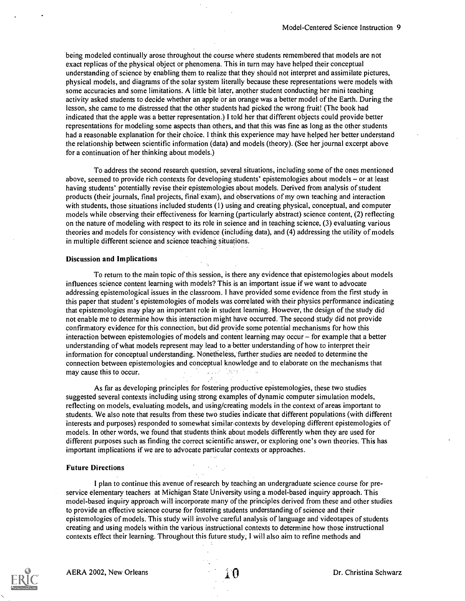being modeled continually arose throughout the course where students remembered that models are not exact replicas of the physical object or phenomena. This in turn may have helped their conceptual understanding of science by enabling them to realize that they should not interpret and assimilate pictures, physical models, and diagrams of the solar system literally because these representations were models with some accuracies and some limitations. A little bit later, another student conducting her mini teaching activity asked students to decide whether an apple or an orange was a better model of the Earth. During the lesson, she came to me distressed that the other students had picked the wrong fruit! (The book had indicated that the apple was a better representation.) I told her that different objects could provide better representations for modeling some aspects than others, and that this was fine as long as the other students had a reasonable explanation for their choice. I think this experience may have helped her better understand the relationship between scientific information (data) and models (theory). (See her journal excerpt above for a continuation of her thinking about models.)

To address the second research question, several situations, including some of the ones mentioned above, seemed to provide rich contexts for developing students' epistemologies about models – or at least having students' potentially revise their epistemologies about models. Derived from analysis of student products (their journals, final projects, final exam), and observations of my own teaching and interaction with students, those situations included students (1) using and creating physical, conceptual, and computer models while observing their effectiveness for learning (particularly abstract) science content, (2) reflecting on the nature of modeling with respect to its role in science and in teaching science, (3) evaluating various theories and models for consistency with evidence (including data), and (4) addressing the utility of models in multiple different science and science teaching situations.

#### Discussion and Implications

To return to the main topic of this session, is there any evidence that epistemologies about models influences science content learning with models? This is an important issue if we want to advocate addressing epistemological issues in the classroom. I have provided some evidence from the first study in this paper that student's epistemologies of models was correlated with their physics performance indicating that epistemologies may play an important role in student learning. However, the design of the study did not enable me to determine how this interaction might have occurred. The second study did not provide confirmatory evidence for this connection, but did provide some potential mechanisms for how this interaction between epistemologies of models and content learning may occur  $-$  for example that a better understanding of what models represent may lead to a better understanding of how to interpret their information for conceptual understanding. Nonetheless, further studies are needed to determine the connection between epistemologies and conceptual knowledge and to elaborate on the mechanisms that may cause this to occur. **Contractor** 

As far as developing principles for fostering productive epistemologies, these two studies suggested several contexts including using strong examples of dynamic computer simulation models, reflecting on models, evaluating models, and using/creating models in the context of areas important to students. We also note that results from these two studies indicate that different populations (with different interests and purposes) responded to somewhat similar contexts by developing different epistemologies of models. In other words, we found that students think about models differently when they are used for different purposes such as finding the correct scientific answer, or exploring one's own theories. This has important implications if we are to advocate particular contexts or approaches.

#### Future Directions

I plan to continue this avenue of research by teaching an undergraduate science course for preservice elementary teachers at Michigan State University using a model-based inquiry approach. This model-based inquiry approach will incorporate many of the principles derived from these and other studies to provide an effective science course for fostering students understanding of science and their epistemologies of models. This study will involve careful analysis of language and videotapes of students creating and using models within the various instructional contexts to determine how those instructional contexts effect their learning. Throughout this future study, I will also aim to refine methods and

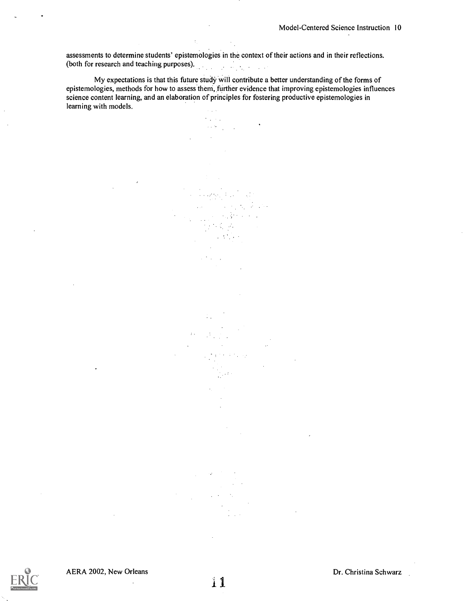assessments to determine students' epistemologies in the context of their actions and in their reflections. (both for research and teaching purposes).

My expectations is that this future study will contribute a better understanding of the forms of epistemologies, methods for how to assess them, further evidence that improving epistemologies influences science content learning, and an elaboration of principles for fostering productive epistemologies in learning with models.

 $\mathcal{L}^{\text{max}}$ 

**College** 

 $\frac{1}{2}$  ,  $\frac{1}{2}$  ,  $\frac{1}{2}$  ,  $\frac{1}{2}$  ,  $\frac{1}{2}$  ,  $\frac{1}{2}$  ,  $\frac{1}{2}$ 

 $\mathcal{L}$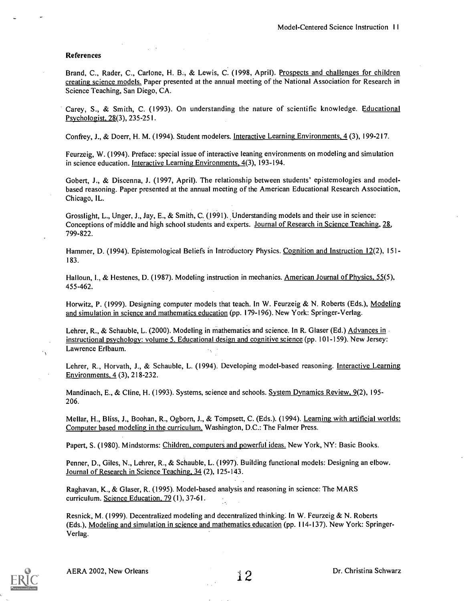#### References

Brand, C., Rader, C., Carlone, H. B., & Lewis, C. (1998, April). Prospects and challenges for children creating science models. Paper presented at the annual meeting of the National Association for Research in Science Teaching, San Diego, CA.

Carey, S., & Smith, C. (1993). On understanding the nature of scientific knowledge. Educational Psychologist, 28(3), 235-251.

Confrey, J., & Doerr, H. M. (1994). Student modelers. Interactive Learning Environments, 4 (3), 199-217.

Feurzeig, W. (1994). Preface: special issue of interactive leaning environments on modeling and simulation in science education. Interactive Learning Environments, 4(3), 193-194.

Gobert, J., & Discenna, J. (1997, April). The relationship between students' epistemologies and modelbased reasoning. Paper presented at the annual meeting of the American Educational Research Association, Chicago, IL.

Grosslight, L., Unger, J., Jay, E., & Smith, C. (1991). Understanding models and their use in science: Conceptions of middle and high school students and experts. Journal of Research in Science Teaching, 28, 799-822.

Hammer, D. (1994). Epistemological Beliefs in Introductory Physics. Cognition and Instruction 12(2), 151-183.

Halloun, I., & Hestenes, D. (1987). Modeling instruction in mechanics. American Journal of Physics, 55(5), 455-462.

Horwitz, P. (1999). Designing computer models that teach. In W. Feurzeig & N. Roberts (Eds.), Modeling and simulation in science and mathematics education (pp. 179-196). New York: Springer-Verlag.

Lehrer, R., & Schauble, L. (2000). Modeling in mathematics and science. In R. Glaser (Ed.) Advances in  $\cdot$ instructional psychology: volume 5. Educational design and cognitive science (pp. 101-159). New Jersey: Lawrence Erlbaum.

Lehrer, R., Horvath, J., & Schauble, L. (1994). Developing model-based reasoning. Interactive Learning Environments, 4 (3), 218-232.

Mandinach, E., & Cline, H. (1993). Systems, science and schools. System Dynamics Review, 9(2), 195-206.

Mellar, H., Bliss, J., Boohan, R., Ogborn, J., & Tompsett, C. (Eds.). (1994). Learning with artificial worlds: Computer based modeling in the curriculum. Washington, D.C.: The Falmer Press.

Papert, S. (1980). Mindstorms: Children, computers and powerful ideas. New York, NY: Basic Books.

Penner, D., Giles, N., Lehrer, R., & Schauble, L. (1997). Building functional models: Designing an elbow. Journal of Research in Science Teaching, 34 (2), 125-143.

Raghavan, K., & Glaser, R. (1995). Model-based analysis and reasoning in science: The MARS curriculum. Science Education, 79 (1), 37-61.

Resnick, M. (1999). Decentralized modeling and decentralized thinking. In W. Feurzeig & N. Roberts (Eds.), Modeling and simulation in science and mathematics education (pp. 114-137). New York: Springer-Verlag.

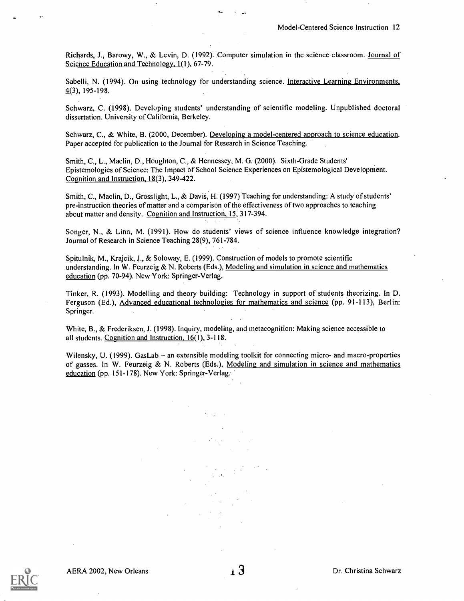Richards, J., Barowy, W., & Levin, D. (1992). Computer simulation in the science classroom. Journal of Science Education and Technology, 1(1), 67-79.

Sabelli, N. (1994). On using technology for understanding science. Interactive Learning Environments, 4(3), 195-198.

Schwarz, C. (1998). Develuping students' understanding of scientific modeling. Unpublished doctoral dissertation. University of California, Berkeley.

Schwarz, C., & White, B. (2000, December). Developing a model-centered approach to science education. Paper accepted for publication to the Journal for Research in Science Teaching.

Smith, C., L., Maclin, D., Houghton, C., & Hennessey, M. G. (2000). Sixth-Grade Students' Epistemologies of Science: The Impact of School Science Experiences on Epistemological Development. Cognition and Instruction, 18(3), 349-422.

Smith, C., Maclin, D., Grosslight, L., & Davis, H. (1997) Teaching for understanding: A study of students' pre-instruction theories of matter and a comparison of the effectiveness of two approaches to teaching about matter and density. Cognition and Instruction, 15, 317-394.

Songer, N., & Linn, M. (1991). How do students' views of science influence knowledge integration? Journal of Research in Science Teaching 28(9), 761-784.

Spitulnik, M., Krajcik, J., & Soloway, E. (1999). Construction of models to promote scientific understanding. In W. Feurzeig & N. Roberts (Eds.), Modeling and simulation in science and mathematics education (pp. 70-94). New York: Springer-Verlag.

Tinker, R. (1993). Modelling and theory building: Technology in support of students theorizing. In D. Ferguson (Ed.), Advanced educational technologies for mathematics and science (pp. 91-113), Berlin: Springer.  $\mathcal{L}_{\mathcal{A}}$ 

White, B., & Frederiksen, J. (1998). Inquiry, modeling, and metacognition: Making science accessible to all students. Cognition and Instruction, 16(1), 3-118..

Wilensky, U. (1999). GasLab – an extensible modeling toolkit for connecting micro- and macro-properties of gasses. In W. Feurzeig & N. Roberts (Eds.), Modeling and simulation in science and mathematics education (pp. 151-178). New York: Springer-Verlag.

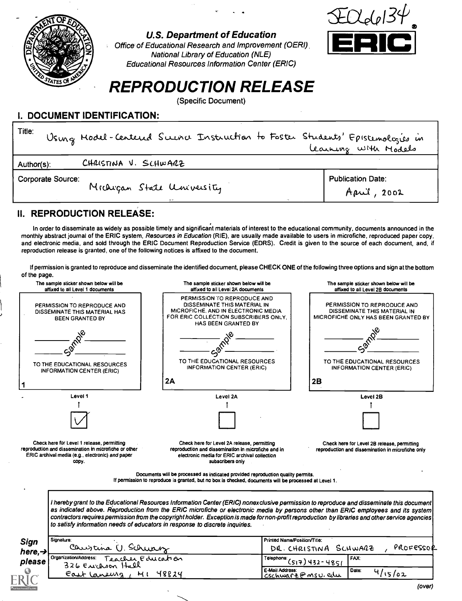

## U.S. Department of Education

Office of Educational Research and Improvement (OERI), National Library of Education (NLE) Educational Resources Information Center (ERIC)



# REPRODUCTION RELEASE

(Specific Document)

## I. DOCUMENT IDENTIFICATION:

| Title:<br>Using Model-Centered Science Instruction to Foster Students' Epistemologies in | Learning with Models                                    |
|------------------------------------------------------------------------------------------|---------------------------------------------------------|
| CHRISTINA V. SCHWARZ<br>Author(s):                                                       |                                                         |
| Corporate Source:<br>Michigan State University                                           | <b>Publication Date:</b><br>$A\rho\ddot{\omega}$ , 2002 |

# II. REPRODUCTION RELEASE:

In order to disseminate as widely as possible timely and significant materials of interest to the educational community, documents announced in the monthly abstract journal of the ERIC system, Resources in Education (RIE), are usually made available to users in microfiche, reproduced paper copy, and electronic media, and sold through the ERIC Document Reproduction Service (EDRS). Credit is given to the source of each document, and, if reproduction release is granted, one of the following notices is affixed to the document.

If permission is granted to reproduce and disseminate the identified document, please CHECK ONE of the following three options and sign at the bottom of the page.